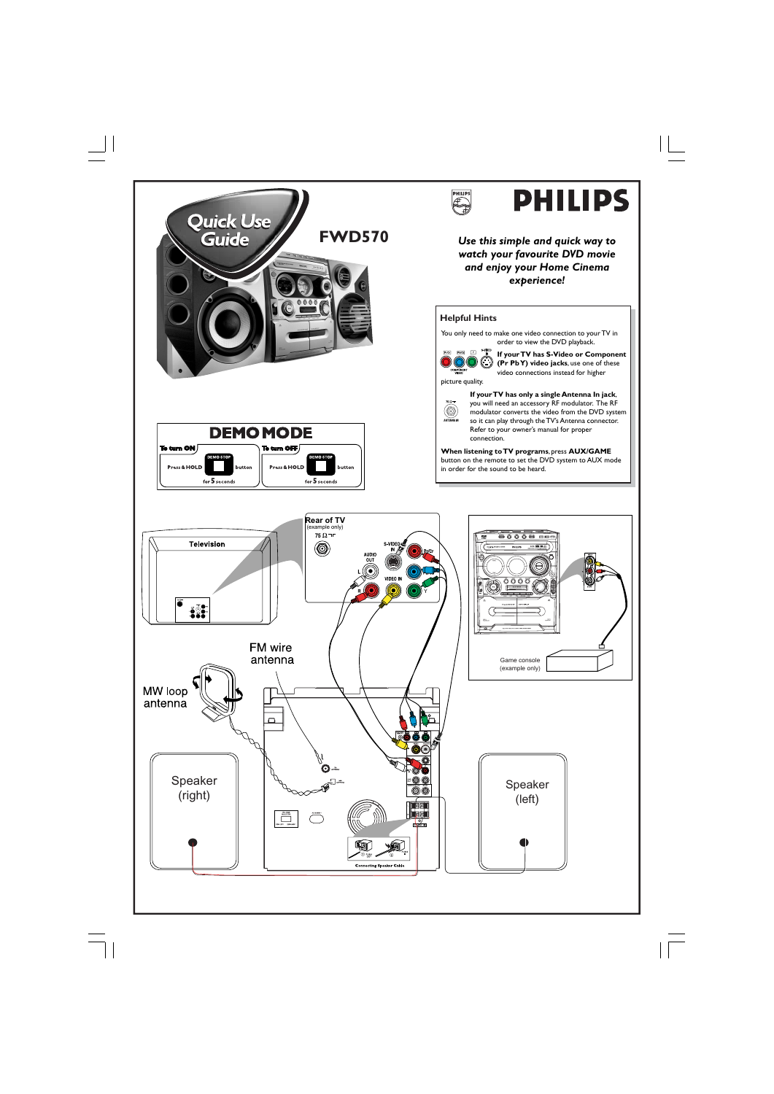